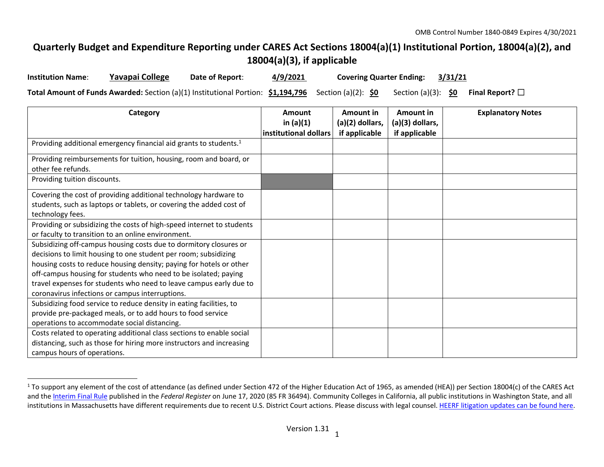## **Quarterly Budget and Expenditure Reporting under CARES Act Sections 18004(a)(1) Institutional Portion, 18004(a)(2), and 18004(a)(3), if applicable**

| <b>Institution Name:</b> | Yavapai College | Date of Report: | 4/9/2021 | Covering Quarter Ending: 3/31/21 |  |
|--------------------------|-----------------|-----------------|----------|----------------------------------|--|
|                          |                 |                 |          |                                  |  |

**Total Amount of Funds Awarded:** Section (a)(1) Institutional Portion: **\$1,194,796** Section (a)(2): **\$0** Section (a)(3): **\$0 Final Report?** ☐

| Category                                                                      | <b>Amount</b>         | Amount in       | Amount in       | <b>Explanatory Notes</b> |
|-------------------------------------------------------------------------------|-----------------------|-----------------|-----------------|--------------------------|
|                                                                               | in $(a)(1)$           | (a)(2) dollars, | (a)(3) dollars, |                          |
|                                                                               | institutional dollars | if applicable   | if applicable   |                          |
| Providing additional emergency financial aid grants to students. <sup>1</sup> |                       |                 |                 |                          |
| Providing reimbursements for tuition, housing, room and board, or             |                       |                 |                 |                          |
| other fee refunds.                                                            |                       |                 |                 |                          |
| Providing tuition discounts.                                                  |                       |                 |                 |                          |
| Covering the cost of providing additional technology hardware to              |                       |                 |                 |                          |
| students, such as laptops or tablets, or covering the added cost of           |                       |                 |                 |                          |
| technology fees.                                                              |                       |                 |                 |                          |
| Providing or subsidizing the costs of high-speed internet to students         |                       |                 |                 |                          |
| or faculty to transition to an online environment.                            |                       |                 |                 |                          |
| Subsidizing off-campus housing costs due to dormitory closures or             |                       |                 |                 |                          |
| decisions to limit housing to one student per room; subsidizing               |                       |                 |                 |                          |
| housing costs to reduce housing density; paying for hotels or other           |                       |                 |                 |                          |
| off-campus housing for students who need to be isolated; paying               |                       |                 |                 |                          |
| travel expenses for students who need to leave campus early due to            |                       |                 |                 |                          |
| coronavirus infections or campus interruptions.                               |                       |                 |                 |                          |
| Subsidizing food service to reduce density in eating facilities, to           |                       |                 |                 |                          |
| provide pre-packaged meals, or to add hours to food service                   |                       |                 |                 |                          |
| operations to accommodate social distancing.                                  |                       |                 |                 |                          |
| Costs related to operating additional class sections to enable social         |                       |                 |                 |                          |
| distancing, such as those for hiring more instructors and increasing          |                       |                 |                 |                          |
| campus hours of operations.                                                   |                       |                 |                 |                          |

<sup>&</sup>lt;sup>1</sup> To support any element of the cost of attendance (as defined under Section 472 of the Higher Education Act of 1965, as amended (HEA)) per Section 18004(c) of the CARES Act and the Interim Final Rule published in the *Federal Register* on June 17, 2020 (85 FR 36494). Community Colleges in California, all public institutions in Washington State, and all institutions in Massachusetts have different requirements due to recent U.S. District Court actions. Please discuss with legal counsel. HEERF litigation updates can be found here.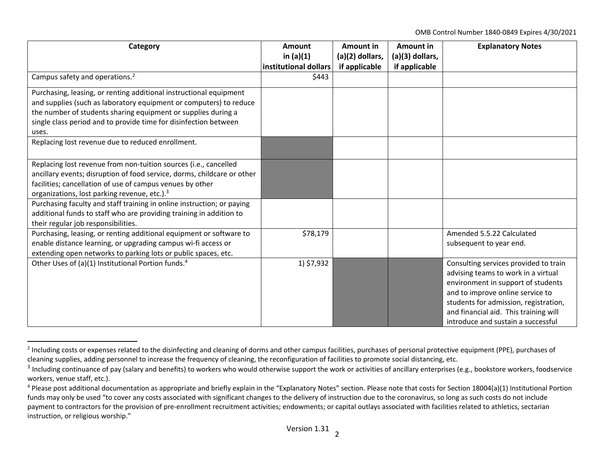OMB Control Number 1840‐0849 Expires 4/30/2021

| Category                                                                                                                                                                                                                                                                               | <b>Amount</b>                        | Amount in<br>(a)(2) dollars, | Amount in                        | <b>Explanatory Notes</b>                                                                                                                                                                                                                                                       |
|----------------------------------------------------------------------------------------------------------------------------------------------------------------------------------------------------------------------------------------------------------------------------------------|--------------------------------------|------------------------------|----------------------------------|--------------------------------------------------------------------------------------------------------------------------------------------------------------------------------------------------------------------------------------------------------------------------------|
|                                                                                                                                                                                                                                                                                        | in $(a)(1)$<br>institutional dollars | if applicable                | (a)(3) dollars,<br>if applicable |                                                                                                                                                                                                                                                                                |
| Campus safety and operations. <sup>2</sup>                                                                                                                                                                                                                                             | \$443                                |                              |                                  |                                                                                                                                                                                                                                                                                |
| Purchasing, leasing, or renting additional instructional equipment<br>and supplies (such as laboratory equipment or computers) to reduce<br>the number of students sharing equipment or supplies during a<br>single class period and to provide time for disinfection between<br>uses. |                                      |                              |                                  |                                                                                                                                                                                                                                                                                |
| Replacing lost revenue due to reduced enrollment.                                                                                                                                                                                                                                      |                                      |                              |                                  |                                                                                                                                                                                                                                                                                |
| Replacing lost revenue from non-tuition sources (i.e., cancelled<br>ancillary events; disruption of food service, dorms, childcare or other<br>facilities; cancellation of use of campus venues by other<br>organizations, lost parking revenue, etc.). <sup>3</sup>                   |                                      |                              |                                  |                                                                                                                                                                                                                                                                                |
| Purchasing faculty and staff training in online instruction; or paying<br>additional funds to staff who are providing training in addition to<br>their regular job responsibilities.                                                                                                   |                                      |                              |                                  |                                                                                                                                                                                                                                                                                |
| Purchasing, leasing, or renting additional equipment or software to<br>enable distance learning, or upgrading campus wi-fi access or<br>extending open networks to parking lots or public spaces, etc.                                                                                 | \$78,179                             |                              |                                  | Amended 5.5.22 Calculated<br>subsequent to year end.                                                                                                                                                                                                                           |
| Other Uses of (a)(1) Institutional Portion funds. <sup>4</sup>                                                                                                                                                                                                                         | 1) \$7,932                           |                              |                                  | Consulting services provided to train<br>advising teams to work in a virtual<br>environment in support of students<br>and to improve online service to<br>students for admission, registration,<br>and financial aid. This training will<br>introduce and sustain a successful |

<sup>&</sup>lt;sup>2</sup> Including costs or expenses related to the disinfecting and cleaning of dorms and other campus facilities, purchases of personal protective equipment (PPE), purchases of cleaning supplies, adding personnel to increase the frequency of cleaning, the reconfiguration of facilities to promote social distancing, etc.

 $3$  Including continuance of pay (salary and benefits) to workers who would otherwise support the work or activities of ancillary enterprises (e.g., bookstore workers, foodservice workers, venue staff, etc.).

<sup>&</sup>lt;sup>4</sup> Please post additional documentation as appropriate and briefly explain in the "Explanatory Notes" section. Please note that costs for Section 18004(a)(1) Institutional Portion funds may only be used "to cover any costs associated with significant changes to the delivery of instruction due to the coronavirus, so long as such costs do not include payment to contractors for the provision of pre-enrollment recruitment activities; endowments; or capital outlays associated with facilities related to athletics, sectarian instruction, or religious worship."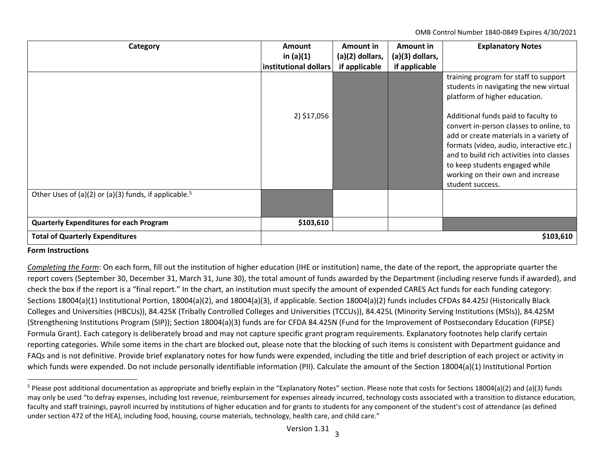OMB Control Number 1840‐0849 Expires 4/30/2021

| Category                                                          | <b>Amount</b><br>in $(a)(1)$<br>institutional dollars | Amount in<br>$(a)(2)$ dollars,<br>if applicable | Amount in<br>$(a)(3)$ dollars,<br>if applicable | <b>Explanatory Notes</b>                                                                                                                                                                                                                                               |
|-------------------------------------------------------------------|-------------------------------------------------------|-------------------------------------------------|-------------------------------------------------|------------------------------------------------------------------------------------------------------------------------------------------------------------------------------------------------------------------------------------------------------------------------|
|                                                                   | 2) \$17,056                                           |                                                 |                                                 | training program for staff to support<br>students in navigating the new virtual<br>platform of higher education.<br>Additional funds paid to faculty to                                                                                                                |
|                                                                   |                                                       |                                                 |                                                 | convert in-person classes to online, to<br>add or create materials in a variety of<br>formats (video, audio, interactive etc.)<br>and to build rich activities into classes<br>to keep students engaged while<br>working on their own and increase<br>student success. |
| Other Uses of (a)(2) or (a)(3) funds, if applicable. <sup>5</sup> |                                                       |                                                 |                                                 |                                                                                                                                                                                                                                                                        |
| <b>Quarterly Expenditures for each Program</b>                    | \$103,610                                             |                                                 |                                                 |                                                                                                                                                                                                                                                                        |
| <b>Total of Quarterly Expenditures</b>                            |                                                       |                                                 |                                                 | \$103,610                                                                                                                                                                                                                                                              |

## **Form Instructions**

*Completing the Form*: On each form, fill out the institution of higher education (IHE or institution) name, the date of the report, the appropriate quarter the report covers (September 30, December 31, March 31, June 30), the total amount of funds awarded by the Department (including reserve funds if awarded), and check the box if the report is <sup>a</sup> "final report." In the chart, an institution must specify the amount of expended CARES Act funds for each funding category: Sections 18004(a)(1) Institutional Portion, 18004(a)(2), and 18004(a)(3), if applicable. Section 18004(a)(2) funds includes CFDAs 84.425J (Historically Black Colleges and Universities (HBCUs)), 84.425K (Tribally Controlled Colleges and Universities (TCCUs)), 84.425L (Minority Serving Institutions (MSIs)), 84.425M (Strengthening Institutions Program (SIP)); Section 18004(a)(3) funds are for CFDA 84.425N (Fund for the Improvement of Postsecondary Education (FIPSE) Formula Grant). Each category is deliberately broad and may not capture specific grant program requirements. Explanatory footnotes help clarify certain reporting categories. While some items in the chart are blocked out, please note that the blocking of such items is consistent with Department guidance and FAQs and is not definitive. Provide brief explanatory notes for how funds were expended, including the title and brief description of each project or activity in which funds were expended. Do not include personally identifiable information (PII). Calculate the amount of the Section 18004(a)(1) Institutional Portion

<sup>&</sup>lt;sup>5</sup> Please post additional documentation as appropriate and briefly explain in the "Explanatory Notes" section. Please note that costs for Sections 18004(a)(2) and (a)(3) funds may only be used "to defray expenses, including lost revenue, reimbursement for expenses already incurred, technology costs associated with <sup>a</sup> transition to distance education, faculty and staff trainings, payroll incurred by institutions of higher education and for grants to students for any component of the student's cost of attendance (as defined under section 472 of the HEA), including food, housing, course materials, technology, health care, and child care."